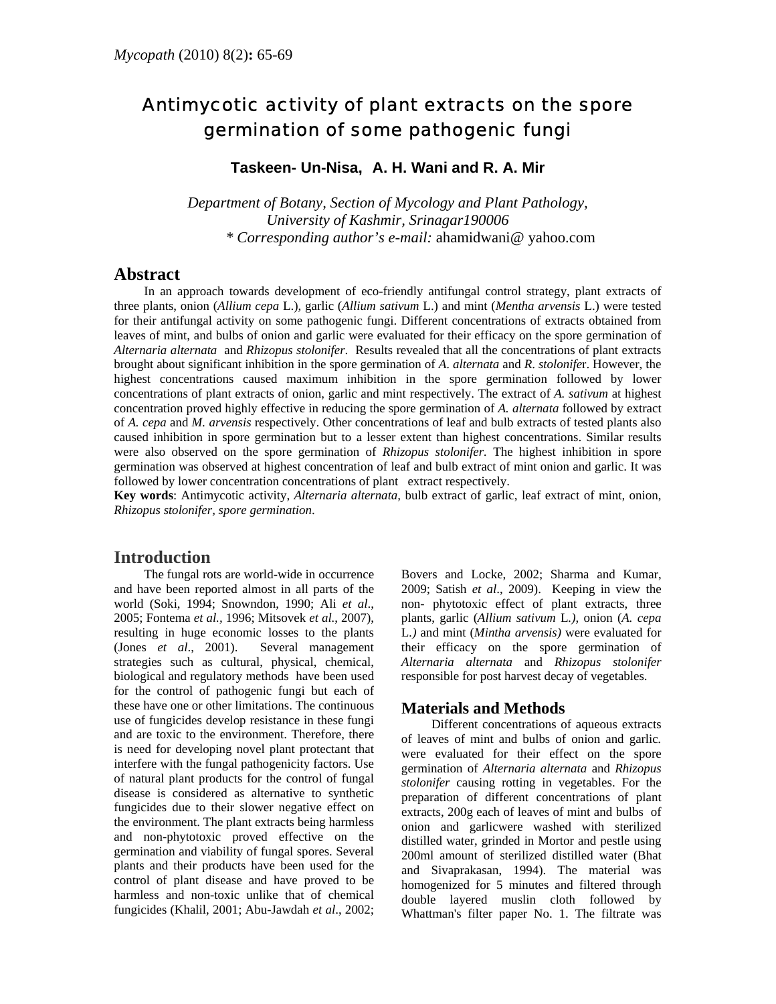# Antimycotic activity of plant extracts on the spore germination of some pathogenic fungi

**Taskeen- Un-Nisa, A. H. Wani and R. A. Mir** 

*Department of Botany, Section of Mycology and Plant Pathology, University of Kashmir, Srinagar190006 [\\* Corresponding author's e-mail:](mailto:* Corresponding author)* ahamidwani@ yahoo.com

### **Abstract**

In an approach towards development of eco-friendly antifungal control strategy, plant extracts of three plants, onion (*Allium cepa* L.), garlic (*Allium sativum* L.) and mint (*Mentha arvensis* L.) were tested for their antifungal activity on some pathogenic fungi. Different concentrations of extracts obtained from leaves of mint, and bulbs of onion and garlic were evaluated for their efficacy on the spore germination of *Alternaria alternata* and *Rhizopus stolonifer*. Results revealed that all the concentrations of plant extracts brought about significant inhibition in the spore germination of *A*. *alternata* and *R*. *stolonife*r. However, the highest concentrations caused maximum inhibition in the spore germination followed by lower concentrations of plant extracts of onion, garlic and mint respectively. The extract of *A. sativum* at highest concentration proved highly effective in reducing the spore germination of *A. alternata* followed by extract of *A. cepa* and *M. arvensis* respectively. Other concentrations of leaf and bulb extracts of tested plants also caused inhibition in spore germination but to a lesser extent than highest concentrations. Similar results were also observed on the spore germination of *Rhizopus stolonifer.* The highest inhibition in spore germination was observed at highest concentration of leaf and bulb extract of mint onion and garlic. It was followed by lower concentration concentrations of plant extract respectively.

**Key words**: Antimycotic activity, *Alternaria alternata,* bulb extract of garlic, leaf extract of mint*,* onion, *Rhizopus stolonifer, spore germination*.

## **Introduction**

The fungal rots are world-wide in occurrence and have been reported almost in all parts of the world (Soki, 1994; Snowndon, 1990; Ali *et al*., 2005; Fontema *et al.,* 1996; Mitsovek *et al.*, 2007), resulting in huge economic losses to the plants (Jones *et al*., 2001). Several management strategies such as cultural, physical, chemical, biological and regulatory methods have been used for the control of pathogenic fungi but each of these have one or other limitations. The continuous use of fungicides develop resistance in these fungi and are toxic to the environment. Therefore, there is need for developing novel plant protectant that interfere with the fungal pathogenicity factors. Use of natural plant products for the control of fungal disease is considered as alternative to synthetic fungicides due to their slower negative effect on the environment. The plant extracts being harmless and non-phytotoxic proved effective on the germination and viability of fungal spores. Several plants and their products have been used for the control of plant disease and have proved to be harmless and non-toxic unlike that of chemical fungicides (Khalil, 2001; Abu-Jawdah *et al*., 2002; Bovers and Locke, 2002; Sharma and Kumar, 2009; Satish *et al*., 2009). Keeping in view the non- phytotoxic effect of plant extracts, three plants, garlic (*Allium sativum* L*.)*, onion (*A. cepa*  L*.)* and mint (*Mintha arvensis)* were evaluated for their efficacy on the spore germination of *Alternaria alternata* and *Rhizopus stolonifer* responsible for post harvest decay of vegetables.

### **Materials and Methods**

Different concentrations of aqueous extracts of leaves of mint and bulbs of onion and garlic*.* were evaluated for their effect on the spore germination of *Alternaria alternata* and *Rhizopus stolonifer* causing rotting in vegetables. For the preparation of different concentrations of plant extracts, 200g each of leaves of mint and bulbs of onion and garlicwere washed with sterilized distilled water, grinded in Mortor and pestle using 200ml amount of sterilized distilled water (Bhat and Sivaprakasan, 1994). The material was homogenized for 5 minutes and filtered through double layered muslin cloth followed by Whattman's filter paper No. 1. The filtrate was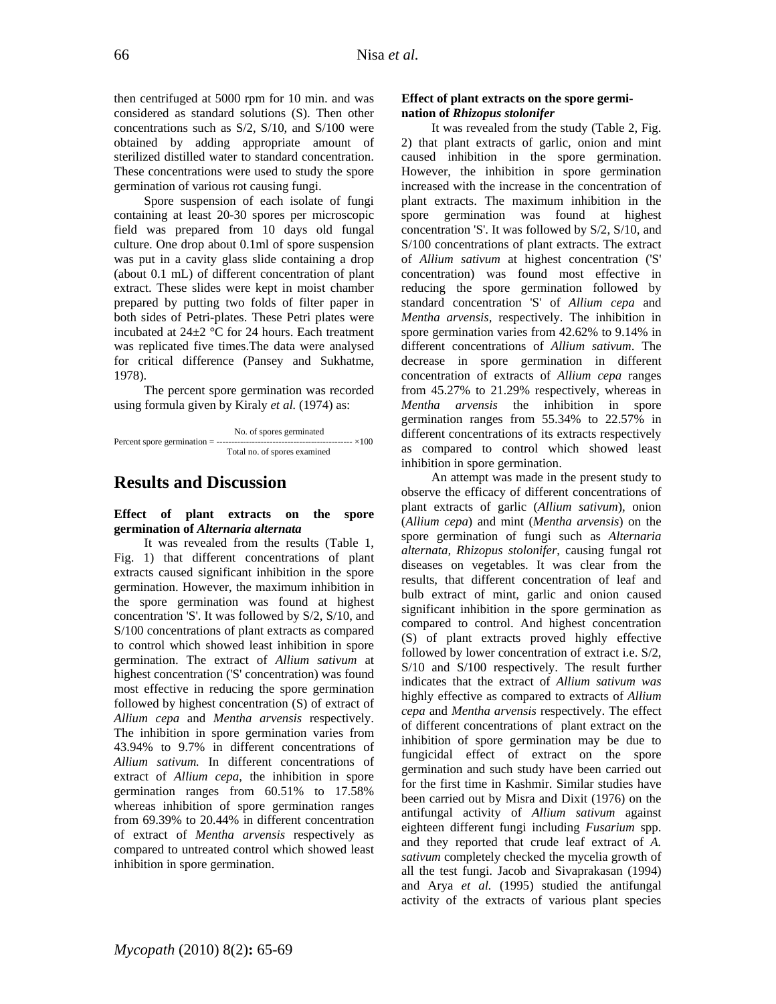then centrifuged at 5000 rpm for 10 min. and was considered as standard solutions (S). Then other concentrations such as S/2, S/10, and S/100 were obtained by adding appropriate amount of sterilized distilled water to standard concentration. These concentrations were used to study the spore germination of various rot causing fungi.

Spore suspension of each isolate of fungi containing at least 20-30 spores per microscopic field was prepared from 10 days old fungal culture. One drop about 0.1ml of spore suspension was put in a cavity glass slide containing a drop (about 0.1 mL) of different concentration of plant extract. These slides were kept in moist chamber prepared by putting two folds of filter paper in both sides of Petri-plates. These Petri plates were incubated at 24±2 °C for 24 hours. Each treatment was replicated five times.The data were analysed for critical difference (Pansey and Sukhatme, 1978).

The percent spore germination was recorded using formula given by Kiraly *et al.* (1974) as:

 No. of spores germinated Percent spore germination = ---------------------------------------------- ×100 Total no. of spores examined

# **Results and Discussion**

### **Effect of plant extracts on the spore germination of** *Alternaria alternata*

It was revealed from the results (Table 1, Fig. 1) that different concentrations of plant extracts caused significant inhibition in the spore germination. However, the maximum inhibition in the spore germination was found at highest concentration 'S'. It was followed by S/2, S/10, and S/100 concentrations of plant extracts as compared to control which showed least inhibition in spore germination. The extract of *Allium sativum* at highest concentration ('S' concentration) was found most effective in reducing the spore germination followed by highest concentration (S) of extract of *Allium cepa* and *Mentha arvensis* respectively. The inhibition in spore germination varies from 43.94% to 9.7% in different concentrations of *Allium sativum.* In different concentrations of extract of *Allium cepa*, the inhibition in spore germination ranges from 60.51% to 17.58% whereas inhibition of spore germination ranges from 69.39% to 20.44% in different concentration of extract of *Mentha arvensis* respectively as compared to untreated control which showed least inhibition in spore germination.

#### **Effect of plant extracts on the spore germination of** *Rhizopus stolonifer*

It was revealed from the study (Table 2, Fig. 2) that plant extracts of garlic, onion and mint caused inhibition in the spore germination. However, the inhibition in spore germination increased with the increase in the concentration of plant extracts. The maximum inhibition in the spore germination was found at highest concentration 'S'. It was followed by S/2, S/10, and S/100 concentrations of plant extracts. The extract of *Allium sativum* at highest concentration ('S' concentration) was found most effective in reducing the spore germination followed by standard concentration 'S' of *Allium cepa* and *Mentha arvensis,* respectively. The inhibition in spore germination varies from 42.62% to 9.14% in different concentrations of *Allium sativum*. The decrease in spore germination in different concentration of extracts of *Allium cepa* ranges from 45.27% to 21.29% respectively, whereas in *Mentha arvensis* the inhibition in spore germination ranges from 55.34% to 22.57% in different concentrations of its extracts respectively as compared to control which showed least inhibition in spore germination.

An attempt was made in the present study to observe the efficacy of different concentrations of plant extracts of garlic (*Allium sativum*), onion (*Allium cepa*) and mint (*Mentha arvensis*) on the spore germination of fungi such as *Alternaria alternata, Rhizopus stolonifer*, causing fungal rot diseases on vegetables. It was clear from the results, that different concentration of leaf and bulb extract of mint, garlic and onion caused significant inhibition in the spore germination as compared to control. And highest concentration (S) of plant extracts proved highly effective followed by lower concentration of extract i.e. S/2, S/10 and S/100 respectively. The result further indicates that the extract of *Allium sativum was*  highly effective as compared to extracts of *Allium cepa* and *Mentha arvensis* respectively. The effect of different concentrations of plant extract on the inhibition of spore germination may be due to fungicidal effect of extract on the spore germination and such study have been carried out for the first time in Kashmir. Similar studies have been carried out by Misra and Dixit (1976) on the antifungal activity of *Allium sativum* against eighteen different fungi including *Fusarium* spp. and they reported that crude leaf extract of *A. sativum* completely checked the mycelia growth of all the test fungi. Jacob and Sivaprakasan (1994) and Arya *et al.* (1995) studied the antifungal activity of the extracts of various plant species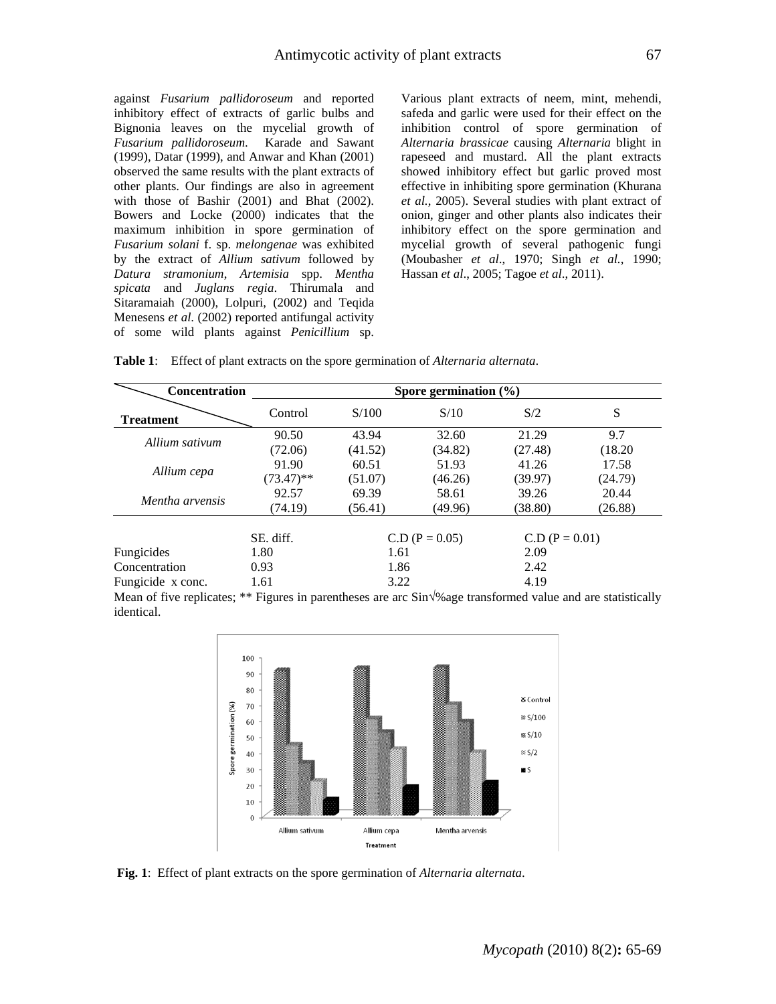against *Fusarium pallidoroseum* and reported inhibitory effect of extracts of garlic bulbs and Bignonia leaves on the mycelial growth of *Fusarium pallidoroseum*. Karade and Sawant (1999), Datar (1999), and Anwar and Khan (2001) observed the same results with the plant extracts of other plants. Our findings are also in agreement with those of Bashir (2001) and Bhat (2002). Bowers and Locke (2000) indicates that the maximum inhibition in spore germination of *Fusarium solani* f. sp. *melongenae* was exhibited by the extract of *Allium sativum* followed by *Datura stramonium*, *Artemisia* spp. *Mentha spicata* and *Juglans regia*. Thirumala and Sitaramaiah (2000), Lolpuri, (2002) and Teqida Menesens *et al*. (2002) reported antifungal activity of some wild plants against *Penicillium* sp.

Various plant extracts of neem, mint, mehendi, safeda and garlic were used for their effect on the inhibition control of spore germination of *Alternaria brassicae* causing *Alternaria* blight in rapeseed and mustard. All the plant extracts showed inhibitory effect but garlic proved most effective in inhibiting spore germination (Khurana *et al.*, 2005). Several studies with plant extract of onion, ginger and other plants also indicates their inhibitory effect on the spore germination and mycelial growth of several pathogenic fungi (Moubasher *et al*., 1970; Singh *et al.*, 1990; Hassan *et al*., 2005; Tagoe *et al*., 2011).

| Table 1: Effect of plant extracts on the spore germination of Alternaria alternata. |  |  |  |  |  |
|-------------------------------------------------------------------------------------|--|--|--|--|--|
|-------------------------------------------------------------------------------------|--|--|--|--|--|

| <b>Concentration</b> | Spore germination $(\% )$ |                  |         |                  |         |  |
|----------------------|---------------------------|------------------|---------|------------------|---------|--|
| <b>Treatment</b>     | Control                   | S/100            | S/10    | S/2              | S       |  |
|                      | 90.50                     | 43.94            | 32.60   | 21.29            | 9.7     |  |
| Allium sativum       | (72.06)                   | (41.52)          | (34.82) | (27.48)          | (18.20) |  |
|                      | 91.90                     | 60.51            | 51.93   | 41.26            | 17.58   |  |
| Allium cepa          | $(73.47)$ **              | (51.07)          | (46.26) | (39.97)          | (24.79) |  |
| Mentha arvensis      | 92.57                     | 69.39            | 58.61   | 39.26            | 20.44   |  |
|                      | (74.19)                   | (56.41)          | (49.96) | (38.80)          | (26.88) |  |
|                      | SE. diff.                 | $C.D (P = 0.05)$ |         | $C.D (P = 0.01)$ |         |  |
| Fungicides           | 1.80                      | 1.61             |         | 2.09             |         |  |
| Concentration        | 0.93                      | 1.86             |         | 2.42             |         |  |
| Fungicide x conc.    | 1.61                      | 3.22             |         | 4.19             |         |  |

Mean of five replicates; \*\* Figures in parentheses are arc Sin√%age transformed value and are statistically identical.



**Fig. 1**: Effect of plant extracts on the spore germination of *Alternaria alternata*.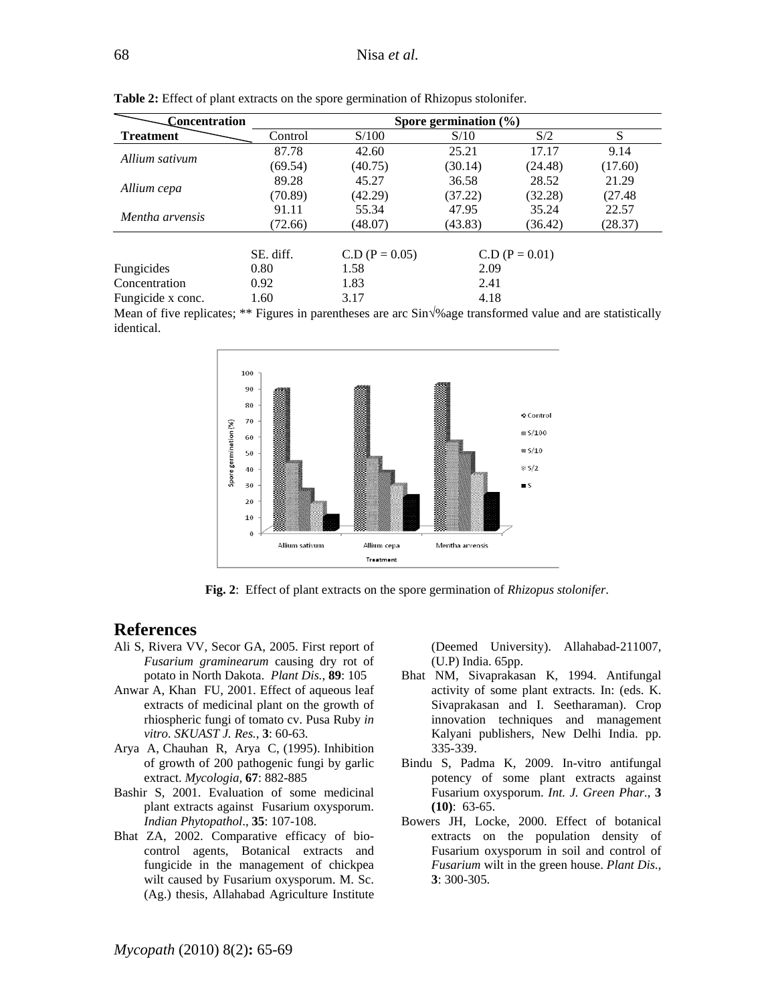| Concentration     |           |                  | Spore germination $(\% )$ |         |         |
|-------------------|-----------|------------------|---------------------------|---------|---------|
| <b>Treatment</b>  | Control   | S/100            | S/10                      | S/2     | S       |
| Allium sativum    | 87.78     | 42.60            | 25.21                     | 17.17   | 9.14    |
|                   | (69.54)   | (40.75)          | (30.14)                   | (24.48) | (17.60) |
|                   | 89.28     | 45.27            | 36.58                     | 28.52   | 21.29   |
| Allium cepa       | (70.89)   | (42.29)          | (37.22)                   | (32.28) | (27.48) |
| Mentha arvensis   | 91.11     | 55.34            | 47.95                     | 35.24   | 22.57   |
|                   | (72.66)   | (48.07)          | (43.83)                   | (36.42) | (28.37) |
|                   | SE. diff. | $C.D (P = 0.05)$ | $C.D (P = 0.01)$          |         |         |
| Fungicides        | 0.80      | 1.58             | 2.09                      |         |         |
| Concentration     | 0.92      | 1.83             | 2.41                      |         |         |
| Fungicide x conc. | 1.60      | 3.17             | 4.18                      |         |         |

**Table 2:** Effect of plant extracts on the spore germination of Rhizopus stolonifer.

Mean of five replicates; \*\* Figures in parentheses are arc Sin√%age transformed value and are statistically identical.



**Fig. 2**: Effect of plant extracts on the spore germination of *Rhizopus stolonifer*.

### **References**

- Ali S, Rivera VV, Secor GA, 2005. First report of *Fusarium graminearum* causing dry rot of potato in North Dakota. *Plant Dis.*, **89**: 105
- Anwar A, Khan FU, 2001. Effect of aqueous leaf extracts of medicinal plant on the growth of rhiospheric fungi of tomato cv. Pusa Ruby *in vitro. SKUAST J. Res.*, **3**: 60-63.
- Arya A, Chauhan R, Arya C, (1995). Inhibition of growth of 200 pathogenic fungi by garlic extract. *Mycologia,* **67**: 882-885
- Bashir S, 2001. Evaluation of some medicinal plant extracts against Fusarium oxysporum. *Indian Phytopathol*., **35**: 107-108.
- Bhat ZA, 2002. Comparative efficacy of biocontrol agents, Botanical extracts and fungicide in the management of chickpea wilt caused by Fusarium oxysporum. M. Sc. (Ag.) thesis, Allahabad Agriculture Institute

(Deemed University). Allahabad-211007, (U.P) India. 65pp.

- Bhat NM, Sivaprakasan K, 1994. Antifungal activity of some plant extracts. In: (eds. K. Sivaprakasan and I. Seetharaman). Crop innovation techniques and management Kalyani publishers, New Delhi India. pp. 335-339.
- Bindu S, Padma K, 2009. In-vitro antifungal potency of some plant extracts against Fusarium oxysporum. *Int. J. Green Phar.*, **3 (10)**: 63-65.
- Bowers JH, Locke, 2000. Effect of botanical extracts on the population density of Fusarium oxysporum in soil and control of *Fusarium* wilt in the green house. *Plant Dis.*, **3**: 300-305.